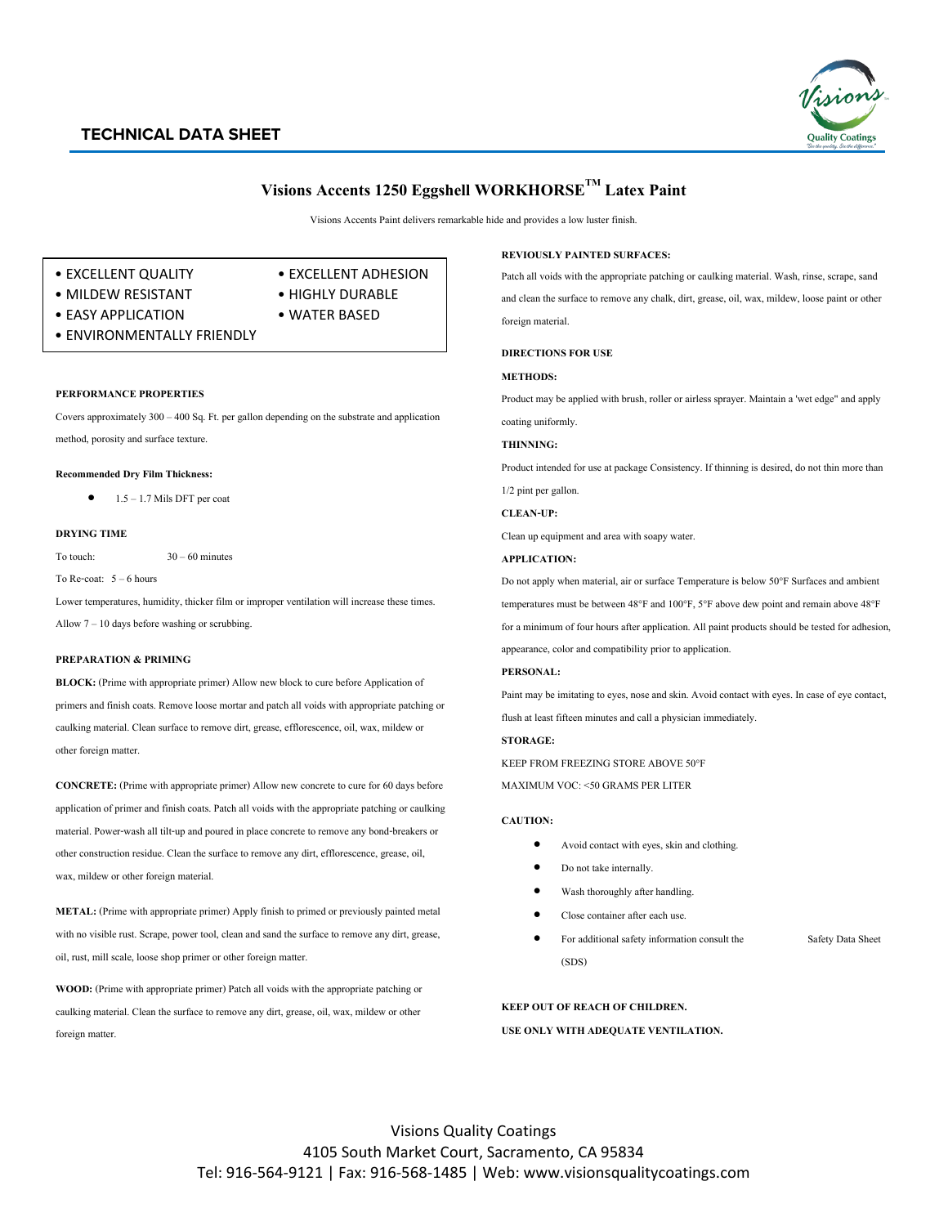## **TECHNICAL DATA SHEET**



# **Visions Accents 1250 EggshellWORKHORSETM Latex Paint**

Visions Accents Paint delivers remarkable hide and provides a low luster finish.

- EXCELLENT QUALITY EXCELLENT ADHESION
	-
- 
- MILDEW RESISTANT HIGHLY DURABLE
- EASY APPLICATION WATER BASED
- 
- ENVIRONMENTALLY FRIENDLY

## **PERFORMANCE PROPERTIES**

Covers approximately 300 – 400 Sq. Ft. per gallon depending on the substrate and application method, porosity and surface texture.

## **Recommended Dry Film Thickness:**

 $\bullet$  1.5 – 1.7 Mils DFT per coat

## **DRYING TIME**

To touch:  $30 - 60$  minutes

#### To Re-coat: 5 – 6 hours

Lower temperatures, humidity, thicker film or improper ventilation will increase these times. Allow 7 – 10 days before washing or scrubbing.

## **PREPARATION & PRIMING**

**BLOCK:** (Prime with appropriate primer) Allow new block to cure before Application of primers and finish coats. Remove loose mortar and patch all voids with appropriate patching or caulking material. Clean surface to remove dirt, grease, efflorescence, oil, wax, mildew or other foreign matter.

**CONCRETE:** (Prime with appropriate primer) Allow new concrete to cure for 60 days before application of primer and finish coats. Patch all voids with the appropriate patching or caulking material. Power-wash all tilt-up and poured in place concrete to remove any bond-breakers or other construction residue. Clean the surface to remove any dirt, efflorescence, grease, oil, wax, mildew or other foreign material.

**METAL:** (Prime with appropriate primer) Apply finish to primed or previously painted metal with no visible rust. Scrape, power tool, clean and sand the surface to remove any dirt, grease, oil, rust, mill scale, loose shop primer or other foreign matter.

**WOOD:** (Prime with appropriate primer) Patch all voids with the appropriate patching or caulking material. Clean the surface to remove any dirt, grease, oil, wax, mildew or other foreign matter.

#### **REVIOUSLY PAINTED SURFACES:**

Patch all voids with the appropriate patching or caulking material. Wash, rinse, scrape, sand and clean the surface to remove any chalk, dirt, grease, oil, wax, mildew, loose paint or other foreign material.

**DIRECTIONS FOR USE**

#### **METHODS:**

Product may be applied with brush, roller or airless sprayer. Maintain a 'wet edge" and apply

coating uniformly.

## **THINNING:**

Product intended for use at package Consistency. If thinning is desired, do not thin more than 1/2 pint per gallon.

**CLEAN-UP:**

Clean up equipment and area with soapy water.

#### **APPLICATION:**

Do not apply when material, air or surface Temperature is below 50°F Surfaces and ambient temperatures must be between 48°F and 100°F, 5°F above dew point and remain above 48°F for a minimum of four hours after application. All paint products should be tested for adhesion, appearance, color and compatibility prior to application.

#### **PERSONAL:**

Paint may be imitating to eyes, nose and skin. Avoid contact with eyes. In case of eye contact, flush at least fifteen minutes and call a physician immediately.

#### **STORAGE:**

KEEP FROM FREEZING STORE ABOVE 50°F

MAXIMUM VOC: <50 GRAMS PER LITER

#### **CAUTION:**

- Avoid contact with eyes, skin and clothing.
- Do not take internally.
- Wash thoroughly after handling.
- Close container after each use.
- For additional safety information consult the Safety Data Sheet (SDS)

#### **KEEP OUT OF REACH OF CHILDREN.**

#### **USE ONLY WITH ADEQUATE VENTILATION.**